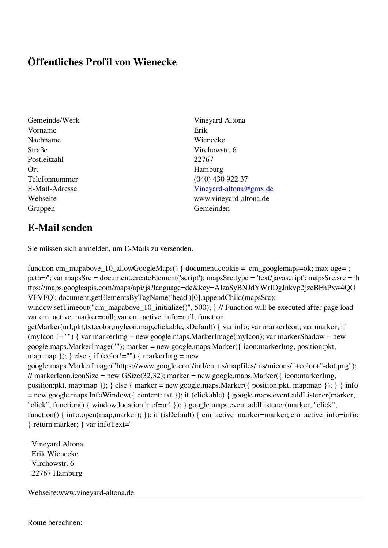## **Öffentliches Profil von Wienecke**

- Gemeinde/Werk Vineyard Altona Vorname Erik Nachname Wienecke Straße Virchowstr. 6 Postleitzahl 22767 Ort Hamburg Gruppen Gemeinden
- Telefonnummer (040) 430 922 37 E-Mail-Adresse [Vineyard-altona@gmx.de](mailto:Vineyard-altona@gmx.de) Webseite www.vineyard-altona.de

## **E-Mail senden**

Sie müssen sich anmelden, um E-Mails zu versenden.

function cm\_mapabove\_10\_allowGoogleMaps() { document.cookie = 'cm\_googlemaps=ok; max-age= ; path=/'; var mapsSrc = document.createElement('script'); mapsSrc.type = 'text/javascript'; mapsSrc.src = 'h ttps://maps.googleapis.com/maps/api/js?language=de&key=AIzaSyBNJdYWrIDgJnkvp2jzeBFhPxw4QO VFVFQ'; document.getElementsByTagName('head')[0].appendChild(mapsSrc); window.setTimeout("cm\_mapabove\_10\_initialize()", 500); } // Function will be executed after page load var cm\_active\_marker=null; var cm\_active\_info=null; function getMarker(url,pkt,txt,color,myIcon,map,clickable,isDefault) { var info; var markerIcon; var marker; if (myIcon != "") { var markerImg = new google.maps.MarkerImage(myIcon); var markerShadow = new google.maps.MarkerImage(""); marker = new google.maps.Marker({ icon:markerImg, position:pkt, map:map  $\}$ ;  $\}$  else  $\{$  if (color!="")  $\{$  markerImg = new google.maps.MarkerImage("https://www.google.com/intl/en\_us/mapfiles/ms/micons/"+color+"-dot.png"); // markerIcon.iconSize = new GSize(32,32); marker = new google.maps.Marker({ $i$ con:markerImg, position:pkt, map:map }); } else { marker = new google.maps.Marker({ position:pkt, map:map }); } } info = new google.maps.InfoWindow({ content: txt }); if (clickable) { google.maps.event.addListener(marker, "click", function() { window.location.href=url }); } google.maps.event.addListener(marker, "click", function() { info.open(map,marker); }); if (isDefault) { cm\_active\_marker=marker; cm\_active\_info=info; } return marker; } var infoText='

 Vineyard Altona Erik Wienecke Virchowstr. 6 22767 Hamburg

Webseite:www.vineyard-altona.de